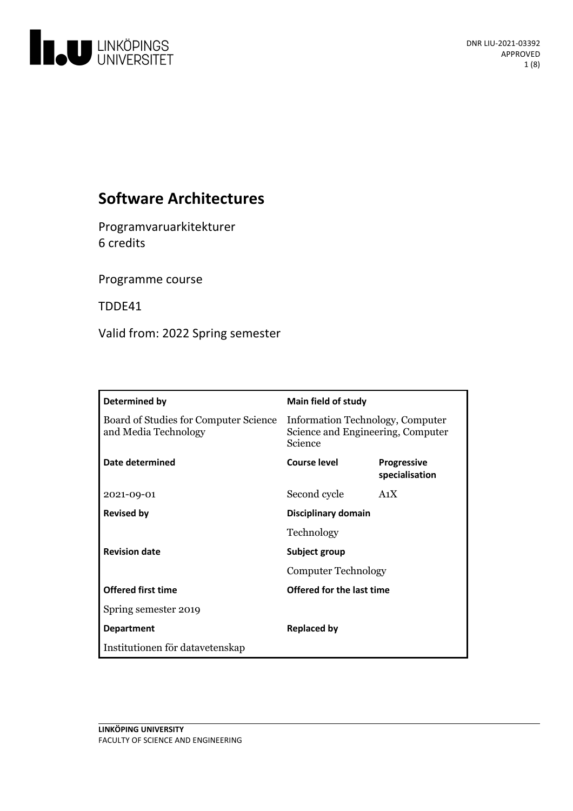

# **Software Architectures**

Programvaruarkitekturer 6 credits

Programme course

TDDE41

Valid from: 2022 Spring semester

| Determined by                                                 | <b>Main field of study</b>                                                       |                                      |  |
|---------------------------------------------------------------|----------------------------------------------------------------------------------|--------------------------------------|--|
| Board of Studies for Computer Science<br>and Media Technology | Information Technology, Computer<br>Science and Engineering, Computer<br>Science |                                      |  |
| Date determined                                               | <b>Course level</b>                                                              | <b>Progressive</b><br>specialisation |  |
| 2021-09-01                                                    | Second cycle                                                                     | A <sub>1</sub> X                     |  |
| <b>Revised by</b>                                             | Disciplinary domain                                                              |                                      |  |
|                                                               | Technology                                                                       |                                      |  |
| <b>Revision date</b>                                          | Subject group                                                                    |                                      |  |
|                                                               | <b>Computer Technology</b>                                                       |                                      |  |
| <b>Offered first time</b>                                     | Offered for the last time                                                        |                                      |  |
| Spring semester 2019                                          |                                                                                  |                                      |  |
| <b>Department</b>                                             | Replaced by                                                                      |                                      |  |
| Institutionen för datavetenskap                               |                                                                                  |                                      |  |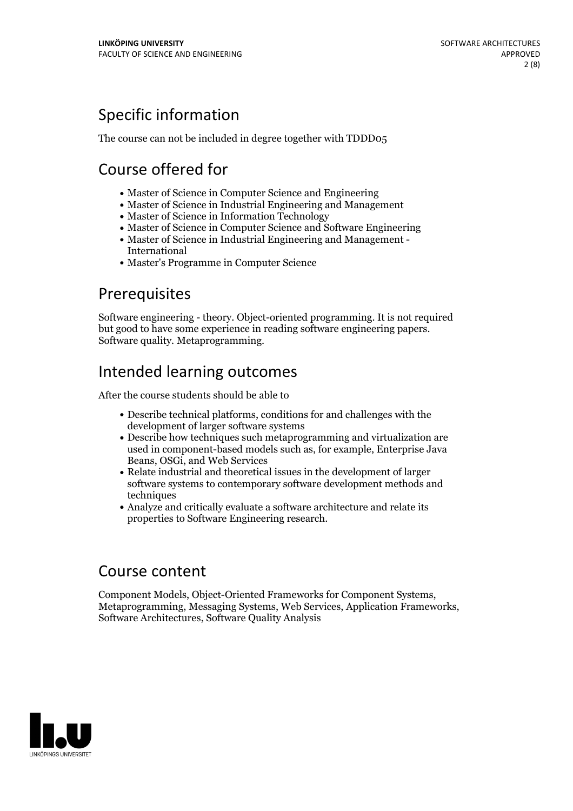# Specific information

The course can not be included in degree together with TDDD05

# Course offered for

- Master of Science in Computer Science and Engineering
- Master of Science in Industrial Engineering and Management
- Master of Science in Information Technology
- Master of Science in Computer Science and Software Engineering
- Master of Science in Industrial Engineering and Management International
- Master's Programme in Computer Science

## Prerequisites

Software engineering - theory. Object-oriented programming. It is not required but good to have some experience in reading software engineering papers. Software quality. Metaprogramming.

# Intended learning outcomes

After the course students should be able to

- Describe technical platforms, conditions for and challenges with the development of larger software systems
- Describe how techniques such metaprogramming and virtualization are used in component-based models such as, for example, Enterprise Java Beans, OSGi, and Web Services
- Relate industrial and theoretical issues in the development of larger software systems to contemporary software development methods and techniques
- Analyze and critically evaluate a software architecture and relate its properties to Software Engineering research.

## Course content

Component Models, Object-Oriented Frameworks for Component Systems, Metaprogramming, Messaging Systems, Web Services, Application Frameworks, Software Architectures, Software Quality Analysis

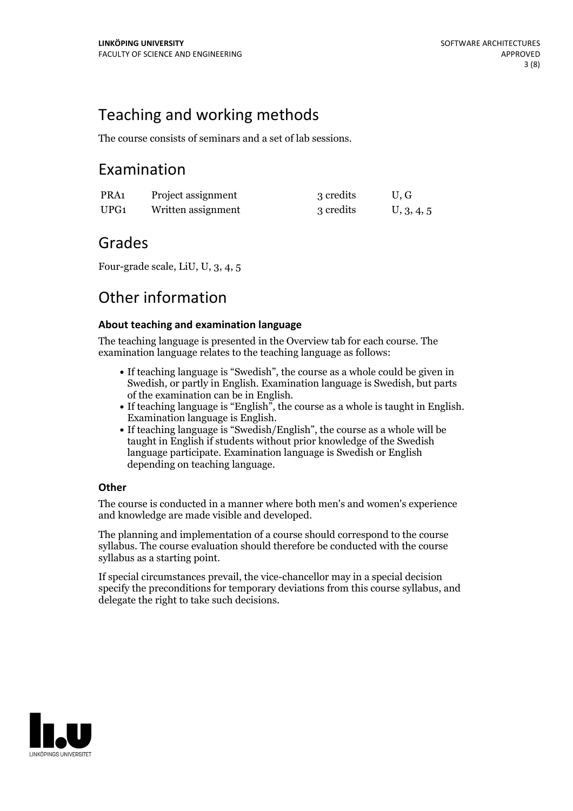# Teaching and working methods

The course consists of seminars and a set of lab sessions.

## Examination

| PRA1 | Project assignment | 3 credits | U.G        |
|------|--------------------|-----------|------------|
| UPG1 | Written assignment | 3 credits | U, 3, 4, 5 |

## Grades

Four-grade scale, LiU, U, 3, 4, 5

## Other information

### **About teaching and examination language**

The teaching language is presented in the Overview tab for each course. The examination language relates to the teaching language as follows:

- If teaching language is "Swedish", the course as a whole could be given in Swedish, or partly in English. Examination language is Swedish, but parts
- of the examination can be in English. If teaching language is "English", the course as <sup>a</sup> whole is taught in English. Examination language is English. If teaching language is "Swedish/English", the course as <sup>a</sup> whole will be
- taught in English if students without prior knowledge of the Swedish language participate. Examination language is Swedish or English depending on teaching language.

### **Other**

The course is conducted in a manner where both men's and women's experience and knowledge are made visible and developed.

The planning and implementation of a course should correspond to the course syllabus. The course evaluation should therefore be conducted with the course syllabus as a starting point.

If special circumstances prevail, the vice-chancellor may in a special decision specify the preconditions for temporary deviations from this course syllabus, and delegate the right to take such decisions.

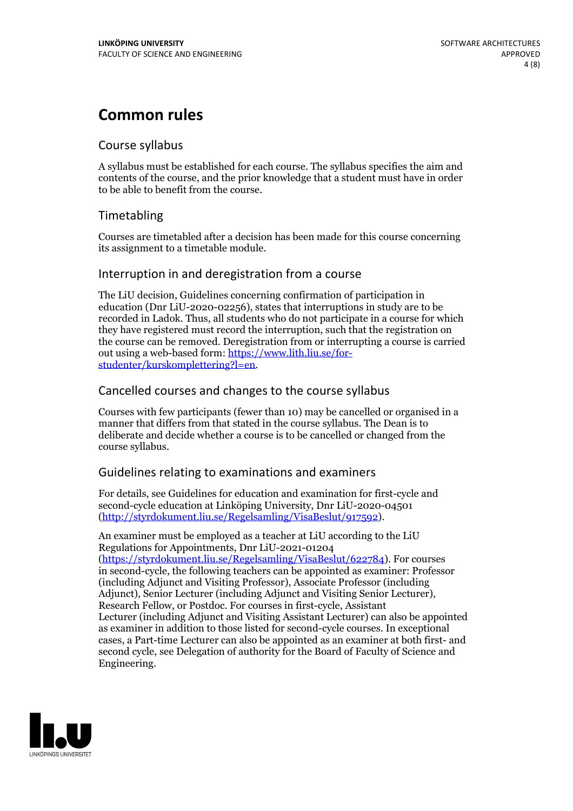## **Common rules**

### Course syllabus

A syllabus must be established for each course. The syllabus specifies the aim and contents of the course, and the prior knowledge that a student must have in order to be able to benefit from the course.

## Timetabling

Courses are timetabled after a decision has been made for this course concerning its assignment to a timetable module.

### Interruption in and deregistration from a course

The LiU decision, Guidelines concerning confirmation of participation in education (Dnr LiU-2020-02256), states that interruptions in study are to be recorded in Ladok. Thus, all students who do not participate in a course for which they have registered must record the interruption, such that the registration on the course can be removed. Deregistration from or interrupting a course is carried out using <sup>a</sup> web-based form: https://www.lith.liu.se/for- [studenter/kurskomplettering?l=en.](https://www.lith.liu.se/for-studenter/kurskomplettering?l=en)

## Cancelled courses and changes to the course syllabus

Courses with few participants (fewer than 10) may be cancelled or organised in a manner that differs from that stated in the course syllabus. The Dean is to deliberate and decide whether a course is to be cancelled or changed from the course syllabus.

## Guidelines relating to examinations and examiners

For details, see Guidelines for education and examination for first-cycle and second-cycle education at Linköping University, Dnr LiU-2020-04501 [\(http://styrdokument.liu.se/Regelsamling/VisaBeslut/917592\)](http://styrdokument.liu.se/Regelsamling/VisaBeslut/917592).

An examiner must be employed as a teacher at LiU according to the LiU Regulations for Appointments, Dnr LiU-2021-01204 [\(https://styrdokument.liu.se/Regelsamling/VisaBeslut/622784](https://styrdokument.liu.se/Regelsamling/VisaBeslut/622784)). For courses in second-cycle, the following teachers can be appointed as examiner: Professor (including Adjunct and Visiting Professor), Associate Professor (including Adjunct), Senior Lecturer (including Adjunct and Visiting Senior Lecturer), Research Fellow, or Postdoc. For courses in first-cycle, Assistant Lecturer (including Adjunct and Visiting Assistant Lecturer) can also be appointed as examiner in addition to those listed for second-cycle courses. In exceptional cases, a Part-time Lecturer can also be appointed as an examiner at both first- and second cycle, see Delegation of authority for the Board of Faculty of Science and Engineering.

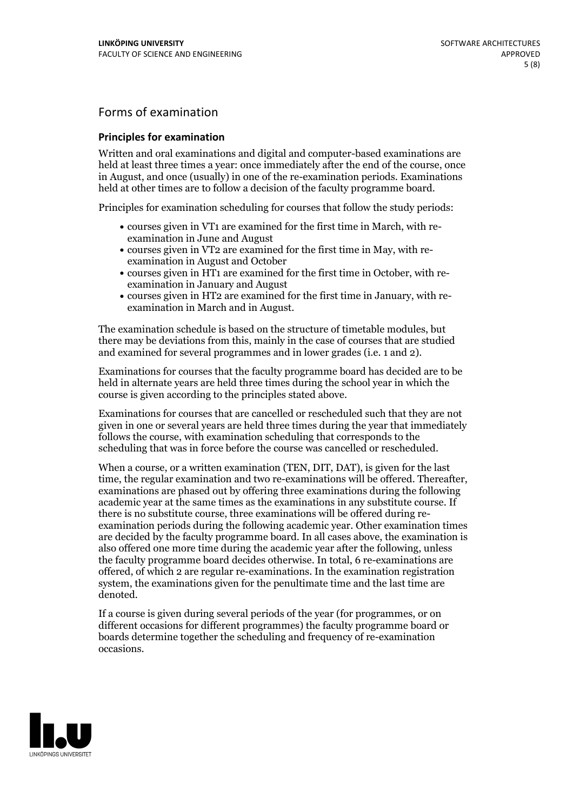## Forms of examination

#### **Principles for examination**

Written and oral examinations and digital and computer-based examinations are held at least three times a year: once immediately after the end of the course, once in August, and once (usually) in one of the re-examination periods. Examinations held at other times are to follow a decision of the faculty programme board.

Principles for examination scheduling for courses that follow the study periods:

- courses given in VT1 are examined for the first time in March, with re-examination in June and August
- courses given in VT2 are examined for the first time in May, with re-examination in August and October
- courses given in HT1 are examined for the first time in October, with re-examination in January and August
- courses given in HT2 are examined for the first time in January, with re-examination in March and in August.

The examination schedule is based on the structure of timetable modules, but there may be deviations from this, mainly in the case of courses that are studied and examined for several programmes and in lower grades (i.e. 1 and 2).

Examinations for courses that the faculty programme board has decided are to be held in alternate years are held three times during the school year in which the course is given according to the principles stated above.

Examinations for courses that are cancelled orrescheduled such that they are not given in one or several years are held three times during the year that immediately follows the course, with examination scheduling that corresponds to the scheduling that was in force before the course was cancelled or rescheduled.

When a course, or a written examination (TEN, DIT, DAT), is given for the last time, the regular examination and two re-examinations will be offered. Thereafter, examinations are phased out by offering three examinations during the following academic year at the same times as the examinations in any substitute course. If there is no substitute course, three examinations will be offered during re- examination periods during the following academic year. Other examination times are decided by the faculty programme board. In all cases above, the examination is also offered one more time during the academic year after the following, unless the faculty programme board decides otherwise. In total, 6 re-examinations are offered, of which 2 are regular re-examinations. In the examination registration system, the examinations given for the penultimate time and the last time are denoted.

If a course is given during several periods of the year (for programmes, or on different occasions for different programmes) the faculty programme board or boards determine together the scheduling and frequency of re-examination occasions.

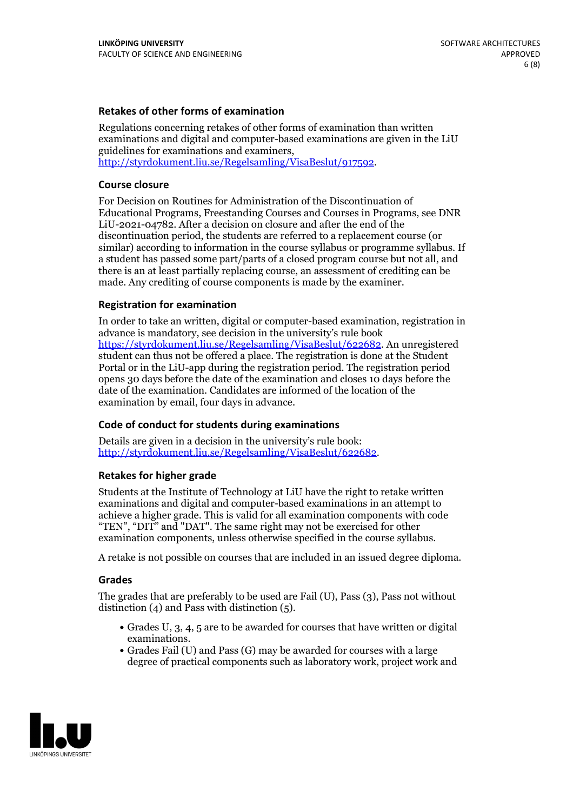### **Retakes of other forms of examination**

Regulations concerning retakes of other forms of examination than written examinations and digital and computer-based examinations are given in the LiU guidelines for examinations and examiners, [http://styrdokument.liu.se/Regelsamling/VisaBeslut/917592.](http://styrdokument.liu.se/Regelsamling/VisaBeslut/917592)

#### **Course closure**

For Decision on Routines for Administration of the Discontinuation of Educational Programs, Freestanding Courses and Courses in Programs, see DNR LiU-2021-04782. After a decision on closure and after the end of the discontinuation period, the students are referred to a replacement course (or similar) according to information in the course syllabus or programme syllabus. If a student has passed some part/parts of a closed program course but not all, and there is an at least partially replacing course, an assessment of crediting can be made. Any crediting of course components is made by the examiner.

#### **Registration for examination**

In order to take an written, digital or computer-based examination, registration in advance is mandatory, see decision in the university's rule book [https://styrdokument.liu.se/Regelsamling/VisaBeslut/622682.](https://styrdokument.liu.se/Regelsamling/VisaBeslut/622682) An unregistered student can thus not be offered a place. The registration is done at the Student Portal or in the LiU-app during the registration period. The registration period opens 30 days before the date of the examination and closes 10 days before the date of the examination. Candidates are informed of the location of the examination by email, four days in advance.

#### **Code of conduct for students during examinations**

Details are given in a decision in the university's rule book: <http://styrdokument.liu.se/Regelsamling/VisaBeslut/622682>.

#### **Retakes for higher grade**

Students at the Institute of Technology at LiU have the right to retake written examinations and digital and computer-based examinations in an attempt to achieve a higher grade. This is valid for all examination components with code "TEN", "DIT" and "DAT". The same right may not be exercised for other examination components, unless otherwise specified in the course syllabus.

A retake is not possible on courses that are included in an issued degree diploma.

#### **Grades**

The grades that are preferably to be used are Fail (U), Pass (3), Pass not without distinction  $(4)$  and Pass with distinction  $(5)$ .

- Grades U, 3, 4, 5 are to be awarded for courses that have written or digital examinations.<br>• Grades Fail (U) and Pass (G) may be awarded for courses with a large
- degree of practical components such as laboratory work, project work and

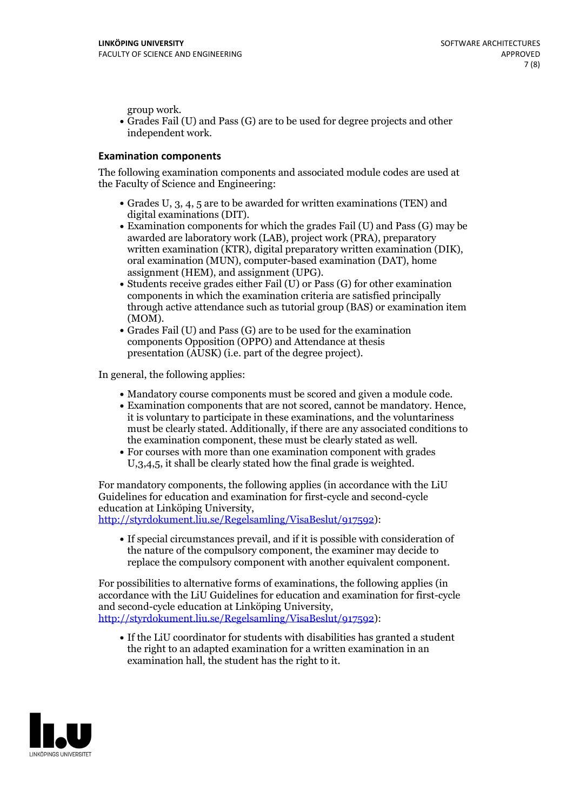group work.<br>• Grades Fail (U) and Pass (G) are to be used for degree projects and other independent work.

### **Examination components**

The following examination components and associated module codes are used at the Faculty of Science and Engineering:

- Grades U, 3, 4, 5 are to be awarded for written examinations (TEN) and
- digital examinations (DIT).<br>• Examination components for which the grades Fail (U) and Pass (G) may be awarded are laboratory work (LAB), project work (PRA), preparatory written examination (KTR), digital preparatory written examination (DIK), oral examination (MUN), computer-based examination (DAT), home
- assignment (HEM), and assignment (UPG).<br>• Students receive grades either Fail (U) or Pass (G) for other examination components in which the examination criteria are satisfied principally through active attendance such as tutorial group (BAS) or examination item
- (MOM).<br>• Grades Fail (U) and Pass (G) are to be used for the examination components Opposition (OPPO) and Attendance at thesis presentation (AUSK) (i.e. part of the degree project).

In general, the following applies:

- 
- Mandatory course components must be scored and given <sup>a</sup> module code. Examination components that are not scored, cannot be mandatory. Hence, it is voluntary to participate in these examinations, and the voluntariness must be clearly stated. Additionally, if there are any associated conditions to
- the examination component, these must be clearly stated as well.<br>• For courses with more than one examination component with grades U,3,4,5, it shall be clearly stated how the final grade is weighted.

For mandatory components, the following applies (in accordance with the LiU Guidelines for education and examination for first-cycle and second-cycle education at Linköping University,<br>[http://styrdokument.liu.se/Regelsamling/VisaBeslut/917592\)](http://styrdokument.liu.se/Regelsamling/VisaBeslut/917592):

If special circumstances prevail, and if it is possible with consideration of the nature of the compulsory component, the examiner may decide to replace the compulsory component with another equivalent component.

For possibilities to alternative forms of examinations, the following applies (in accordance with the LiU Guidelines for education and examination for first-cycle [http://styrdokument.liu.se/Regelsamling/VisaBeslut/917592\)](http://styrdokument.liu.se/Regelsamling/VisaBeslut/917592):

If the LiU coordinator for students with disabilities has granted a student the right to an adapted examination for a written examination in an examination hall, the student has the right to it.